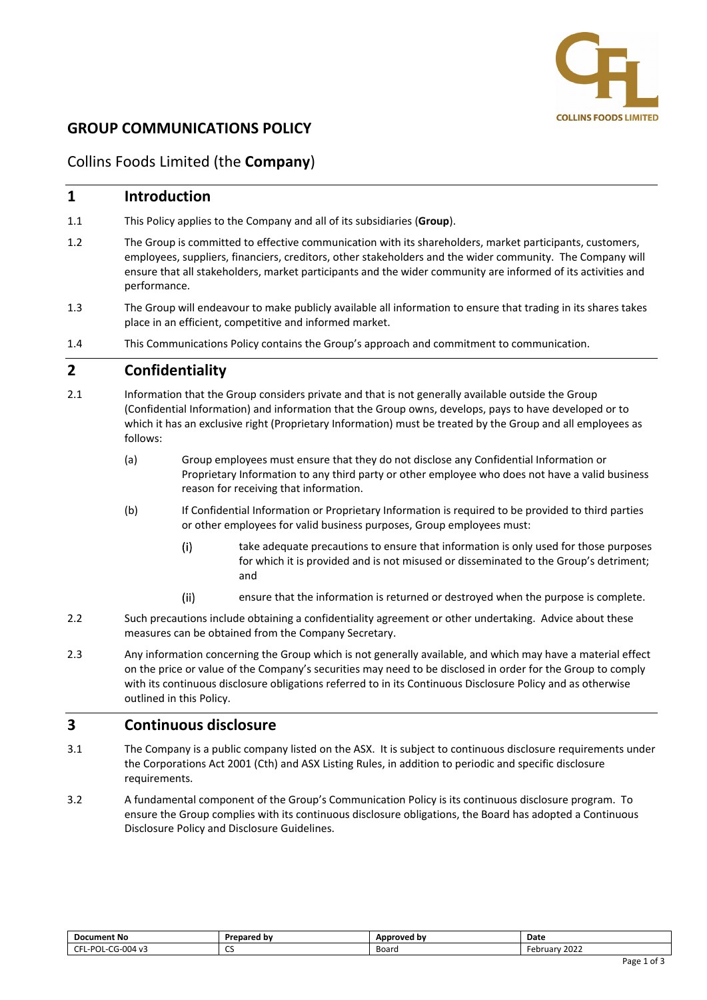

# **GROUP COMMUNICATIONS POLICY**

# Collins Foods Limited (the **Company**)

### **1 Introduction**

- 1.1 This Policy applies to the Company and all of its subsidiaries (**Group**).
- 1.2 The Group is committed to effective communication with its shareholders, market participants, customers, employees, suppliers, financiers, creditors, other stakeholders and the wider community. The Company will ensure that all stakeholders, market participants and the wider community are informed of its activities and performance.
- 1.3 The Group will endeavour to make publicly available all information to ensure that trading in its shares takes place in an efficient, competitive and informed market.
- 1.4 This Communications Policy contains the Group's approach and commitment to communication.

## **2 Confidentiality**

- 2.1 Information that the Group considers private and that is not generally available outside the Group (Confidential Information) and information that the Group owns, develops, pays to have developed or to which it has an exclusive right (Proprietary Information) must be treated by the Group and all employees as follows:
	- (a) Group employees must ensure that they do not disclose any Confidential Information or Proprietary Information to any third party or other employee who does not have a valid business reason for receiving that information.
	- (b) If Confidential Information or Proprietary Information is required to be provided to third parties or other employees for valid business purposes, Group employees must:
		- take adequate precautions to ensure that information is only used for those purposes  $(i)$ for which it is provided and is not misused or disseminated to the Group's detriment; and
		- $(ii)$ ensure that the information is returned or destroyed when the purpose is complete.
- 2.2 Such precautions include obtaining a confidentiality agreement or other undertaking. Advice about these measures can be obtained from the Company Secretary.
- 2.3 Any information concerning the Group which is not generally available, and which may have a material effect on the price or value of the Company's securities may need to be disclosed in order for the Group to comply with its continuous disclosure obligations referred to in its Continuous Disclosure Policy and as otherwise outlined in this Policy.

## **3 Continuous disclosure**

- 3.1 The Company is a public company listed on the ASX. It is subject to continuous disclosure requirements under the Corporations Act 2001 (Cth) and ASX Listing Rules, in addition to periodic and specific disclosure requirements.
- 3.2 A fundamental component of the Group's Communication Policy is its continuous disclosure program. To ensure the Group complies with its continuous disclosure obligations, the Board has adopted a Continuous Disclosure Policy and Disclosure Guidelines.

| <b>Document No</b>                                                               | Prepared by | Approved by | Date             |
|----------------------------------------------------------------------------------|-------------|-------------|------------------|
| $\sim$<br>$\sim$<br>$\sim$<br>L-POL·<br>14 v⊀<br>'−لات<br>uu-<br><b>v</b> –<br>◡ | ~~<br>ັ     | Board       | 2022<br>Februarv |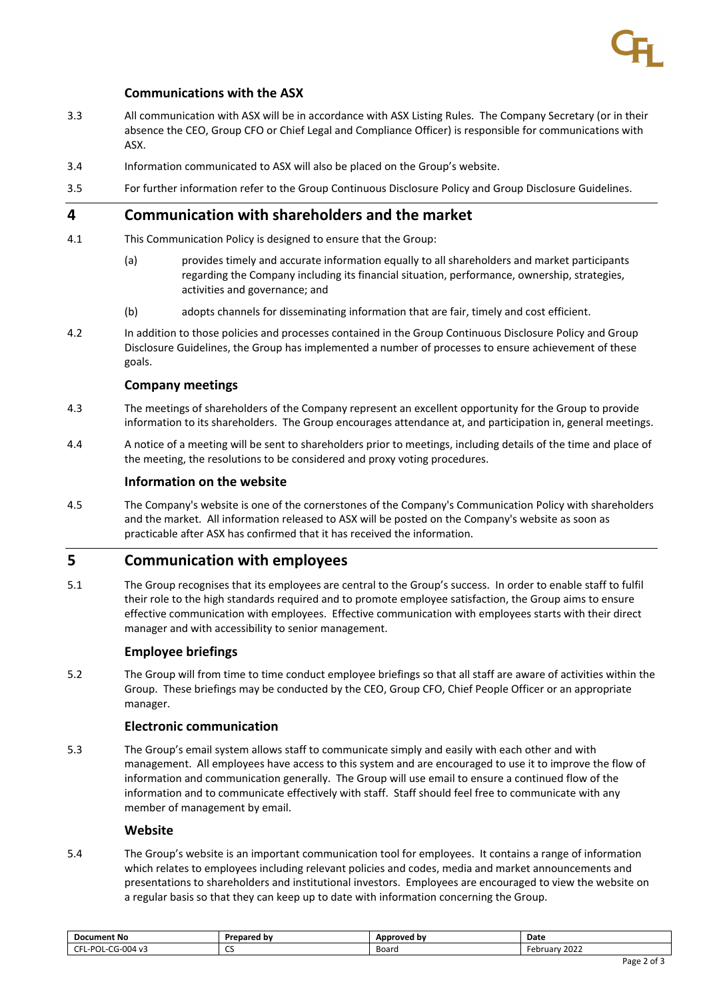

### **Communications with the ASX**

- 3.3 All communication with ASX will be in accordance with ASX Listing Rules. The Company Secretary (or in their absence the CEO, Group CFO or Chief Legal and Compliance Officer) is responsible for communications with ASX.
- 3.4 Information communicated to ASX will also be placed on the Group's website.
- 3.5 For further information refer to the Group Continuous Disclosure Policy and Group Disclosure Guidelines.

## **4 Communication with shareholders and the market**

- 4.1 This Communication Policy is designed to ensure that the Group:
	- (a) provides timely and accurate information equally to all shareholders and market participants regarding the Company including its financial situation, performance, ownership, strategies, activities and governance; and
	- (b) adopts channels for disseminating information that are fair, timely and cost efficient.
- 4.2 In addition to those policies and processes contained in the Group Continuous Disclosure Policy and Group Disclosure Guidelines, the Group has implemented a number of processes to ensure achievement of these goals.

#### **Company meetings**

- 4.3 The meetings of shareholders of the Company represent an excellent opportunity for the Group to provide information to its shareholders. The Group encourages attendance at, and participation in, general meetings.
- 4.4 A notice of a meeting will be sent to shareholders prior to meetings, including details of the time and place of the meeting, the resolutions to be considered and proxy voting procedures.

#### **Information on the website**

4.5 The Company's website is one of the cornerstones of the Company's Communication Policy with shareholders and the market. All information released to ASX will be posted on the Company's website as soon as practicable after ASX has confirmed that it has received the information.

### **5 Communication with employees**

5.1 The Group recognises that its employees are central to the Group's success. In order to enable staff to fulfil their role to the high standards required and to promote employee satisfaction, the Group aims to ensure effective communication with employees. Effective communication with employees starts with their direct manager and with accessibility to senior management.

#### **Employee briefings**

5.2 The Group will from time to time conduct employee briefings so that all staff are aware of activities within the Group. These briefings may be conducted by the CEO, Group CFO, Chief People Officer or an appropriate manager.

#### **Electronic communication**

5.3 The Group's email system allows staff to communicate simply and easily with each other and with management. All employees have access to this system and are encouraged to use it to improve the flow of information and communication generally. The Group will use email to ensure a continued flow of the information and to communicate effectively with staff. Staff should feel free to communicate with any member of management by email.

#### **Website**

5.4 The Group's website is an important communication tool for employees. It contains a range of information which relates to employees including relevant policies and codes, media and market announcements and presentations to shareholders and institutional investors. Employees are encouraged to view the website on a regular basis so that they can keep up to date with information concerning the Group.

| <b>Document No</b>                                | Prepared by | Approved by | Date                               |
|---------------------------------------------------|-------------|-------------|------------------------------------|
| CG-004 v3<br>$\sim$<br>--<br>ാറ<br>וט<br>. .<br>∼ | $\sim$<br>ີ | Board       | 2022<br>F≏hr<br>ruar<br>2022<br>cu |